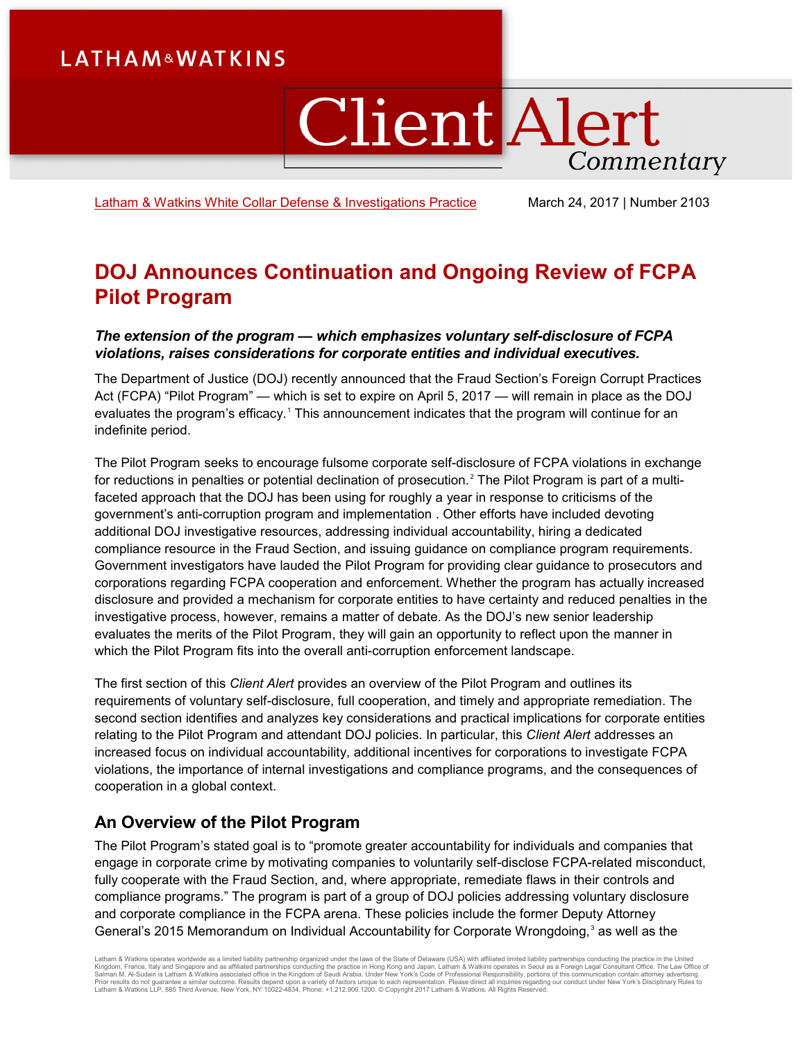# **LATHAM&WATKINS**

# **Client Alert** Commentary

[Latham & Watkins White Collar Defense & Investigations](https://www.lw.com/practices/WhiteCollarDefenseandInvestigations) Practice March 24, 2017 | Number 2103

## **DOJ Announces Continuation and Ongoing Review of FCPA Pilot Program**

## *The extension of the program — which emphasizes voluntary self-disclosure of FCPA violations, raises considerations for corporate entities and individual executives.*

The Department of Justice (DOJ) recently announced that the Fraud Section's Foreign Corrupt Practices Act (FCPA) "Pilot Program" — which is set to expire on April 5, 2017 — will remain in place as the DOJ evaluates the program's efficacy.<sup>[1](#page-5-0)</sup> This announcement indicates that the program will continue for an indefinite period.

The Pilot Program seeks to encourage fulsome corporate self-disclosure of FCPA violations in exchange for reductions in penalties or potential declination of prosecution.<sup>[2](#page-5-1)</sup> The Pilot Program is part of a multifaceted approach that the DOJ has been using for roughly a year in response to criticisms of the government's anti-corruption program and implementation . Other efforts have included devoting additional DOJ investigative resources, addressing individual accountability, hiring a dedicated compliance resource in the Fraud Section, and issuing guidance on compliance program requirements. Government investigators have lauded the Pilot Program for providing clear guidance to prosecutors and corporations regarding FCPA cooperation and enforcement. Whether the program has actually increased disclosure and provided a mechanism for corporate entities to have certainty and reduced penalties in the investigative process, however, remains a matter of debate. As the DOJ's new senior leadership evaluates the merits of the Pilot Program, they will gain an opportunity to reflect upon the manner in which the Pilot Program fits into the overall anti-corruption enforcement landscape.

The first section of this *Client Alert* provides an overview of the Pilot Program and outlines its requirements of voluntary self-disclosure, full cooperation, and timely and appropriate remediation. The second section identifies and analyzes key considerations and practical implications for corporate entities relating to the Pilot Program and attendant DOJ policies. In particular, this *Client Alert* addresses an increased focus on individual accountability, additional incentives for corporations to investigate FCPA violations, the importance of internal investigations and compliance programs, and the consequences of cooperation in a global context.

## **An Overview of the Pilot Program**

The Pilot Program's stated goal is to "promote greater accountability for individuals and companies that engage in corporate crime by motivating companies to voluntarily self-disclose FCPA-related misconduct, fully cooperate with the Fraud Section, and, where appropriate, remediate flaws in their controls and compliance programs." The program is part of a group of DOJ policies addressing voluntary disclosure and corporate compliance in the FCPA arena. These policies include the former Deputy Attorney General's 2015 Memorandum on Individual Accountability for Corporate Wrongdoing,<sup>[3](#page-5-2)</sup> as well as the

Latham & Watkins operates worldwide as a limited liability partnership organized under the laws of the State of Delaware (USA) with affiliated partnerships conducting the practice in Hong Kong and Japan. Latham & Watkins o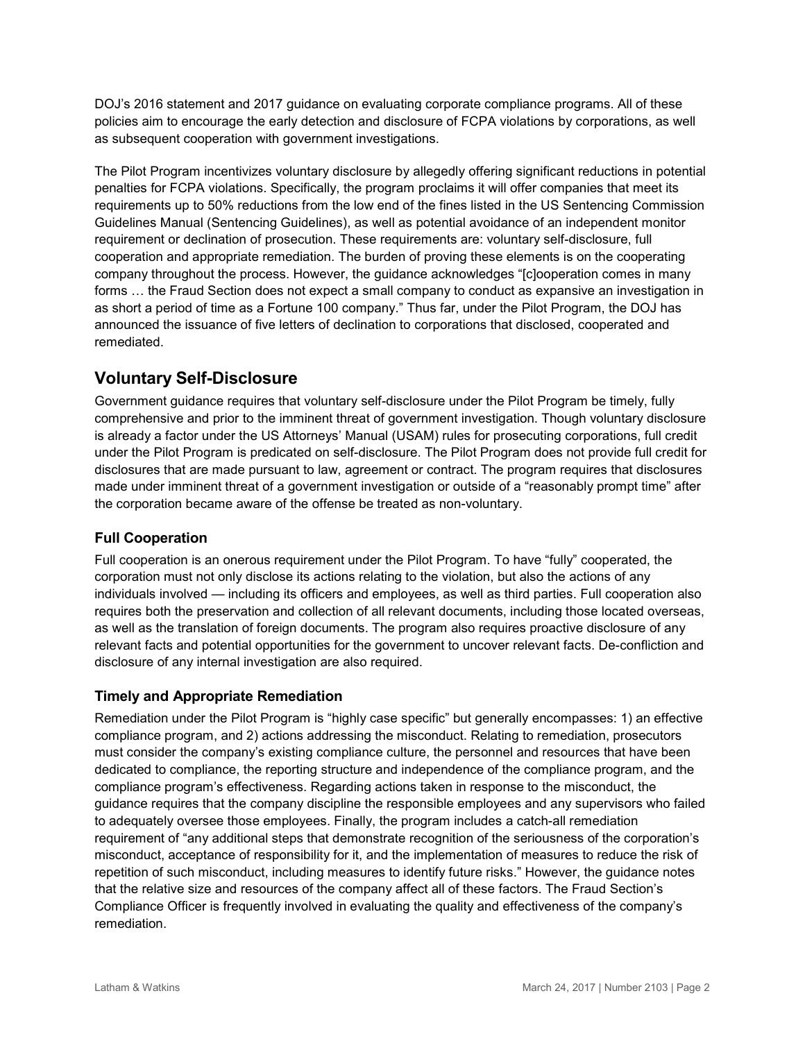DOJ's 2016 statement and 2017 guidance on evaluating corporate compliance programs. All of these policies aim to encourage the early detection and disclosure of FCPA violations by corporations, as well as subsequent cooperation with government investigations.

The Pilot Program incentivizes voluntary disclosure by allegedly offering significant reductions in potential penalties for FCPA violations. Specifically, the program proclaims it will offer companies that meet its requirements up to 50% reductions from the low end of the fines listed in the US Sentencing Commission Guidelines Manual (Sentencing Guidelines), as well as potential avoidance of an independent monitor requirement or declination of prosecution. These requirements are: voluntary self-disclosure, full cooperation and appropriate remediation. The burden of proving these elements is on the cooperating company throughout the process. However, the guidance acknowledges "[c]ooperation comes in many forms … the Fraud Section does not expect a small company to conduct as expansive an investigation in as short a period of time as a Fortune 100 company." Thus far, under the Pilot Program, the DOJ has announced the issuance of five letters of declination to corporations that disclosed, cooperated and remediated.

## **Voluntary Self-Disclosure**

Government guidance requires that voluntary self-disclosure under the Pilot Program be timely, fully comprehensive and prior to the imminent threat of government investigation. Though voluntary disclosure is already a factor under the US Attorneys' Manual (USAM) rules for prosecuting corporations, full credit under the Pilot Program is predicated on self-disclosure. The Pilot Program does not provide full credit for disclosures that are made pursuant to law, agreement or contract. The program requires that disclosures made under imminent threat of a government investigation or outside of a "reasonably prompt time" after the corporation became aware of the offense be treated as non-voluntary.

## **Full Cooperation**

Full cooperation is an onerous requirement under the Pilot Program. To have "fully" cooperated, the corporation must not only disclose its actions relating to the violation, but also the actions of any individuals involved — including its officers and employees, as well as third parties. Full cooperation also requires both the preservation and collection of all relevant documents, including those located overseas, as well as the translation of foreign documents. The program also requires proactive disclosure of any relevant facts and potential opportunities for the government to uncover relevant facts. De-confliction and disclosure of any internal investigation are also required.

## **Timely and Appropriate Remediation**

Remediation under the Pilot Program is "highly case specific" but generally encompasses: 1) an effective compliance program, and 2) actions addressing the misconduct. Relating to remediation, prosecutors must consider the company's existing compliance culture, the personnel and resources that have been dedicated to compliance, the reporting structure and independence of the compliance program, and the compliance program's effectiveness. Regarding actions taken in response to the misconduct, the guidance requires that the company discipline the responsible employees and any supervisors who failed to adequately oversee those employees. Finally, the program includes a catch-all remediation requirement of "any additional steps that demonstrate recognition of the seriousness of the corporation's misconduct, acceptance of responsibility for it, and the implementation of measures to reduce the risk of repetition of such misconduct, including measures to identify future risks." However, the guidance notes that the relative size and resources of the company affect all of these factors. The Fraud Section's Compliance Officer is frequently involved in evaluating the quality and effectiveness of the company's remediation.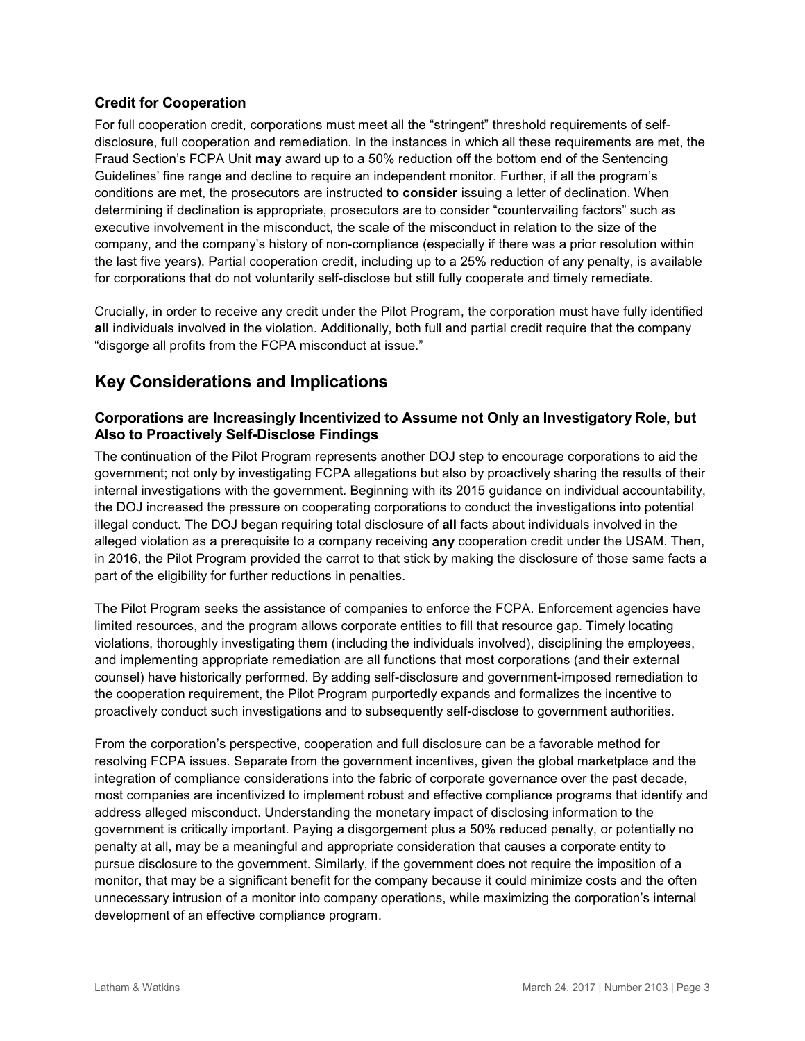## **Credit for Cooperation**

For full cooperation credit, corporations must meet all the "stringent" threshold requirements of selfdisclosure, full cooperation and remediation. In the instances in which all these requirements are met, the Fraud Section's FCPA Unit **may** award up to a 50% reduction off the bottom end of the Sentencing Guidelines' fine range and decline to require an independent monitor. Further, if all the program's conditions are met, the prosecutors are instructed **to consider** issuing a letter of declination. When determining if declination is appropriate, prosecutors are to consider "countervailing factors" such as executive involvement in the misconduct, the scale of the misconduct in relation to the size of the company, and the company's history of non-compliance (especially if there was a prior resolution within the last five years). Partial cooperation credit, including up to a 25% reduction of any penalty, is available for corporations that do not voluntarily self-disclose but still fully cooperate and timely remediate.

Crucially, in order to receive any credit under the Pilot Program, the corporation must have fully identified **all** individuals involved in the violation. Additionally, both full and partial credit require that the company "disgorge all profits from the FCPA misconduct at issue."

## **Key Considerations and Implications**

## **Corporations are Increasingly Incentivized to Assume not Only an Investigatory Role, but Also to Proactively Self-Disclose Findings**

The continuation of the Pilot Program represents another DOJ step to encourage corporations to aid the government; not only by investigating FCPA allegations but also by proactively sharing the results of their internal investigations with the government. Beginning with its 2015 guidance on individual accountability, the DOJ increased the pressure on cooperating corporations to conduct the investigations into potential illegal conduct. The DOJ began requiring total disclosure of **all** facts about individuals involved in the alleged violation as a prerequisite to a company receiving **any** cooperation credit under the USAM. Then, in 2016, the Pilot Program provided the carrot to that stick by making the disclosure of those same facts a part of the eligibility for further reductions in penalties.

The Pilot Program seeks the assistance of companies to enforce the FCPA. Enforcement agencies have limited resources, and the program allows corporate entities to fill that resource gap. Timely locating violations, thoroughly investigating them (including the individuals involved), disciplining the employees, and implementing appropriate remediation are all functions that most corporations (and their external counsel) have historically performed. By adding self-disclosure and government-imposed remediation to the cooperation requirement, the Pilot Program purportedly expands and formalizes the incentive to proactively conduct such investigations and to subsequently self-disclose to government authorities.

From the corporation's perspective, cooperation and full disclosure can be a favorable method for resolving FCPA issues. Separate from the government incentives, given the global marketplace and the integration of compliance considerations into the fabric of corporate governance over the past decade, most companies are incentivized to implement robust and effective compliance programs that identify and address alleged misconduct. Understanding the monetary impact of disclosing information to the government is critically important. Paying a disgorgement plus a 50% reduced penalty, or potentially no penalty at all, may be a meaningful and appropriate consideration that causes a corporate entity to pursue disclosure to the government. Similarly, if the government does not require the imposition of a monitor, that may be a significant benefit for the company because it could minimize costs and the often unnecessary intrusion of a monitor into company operations, while maximizing the corporation's internal development of an effective compliance program.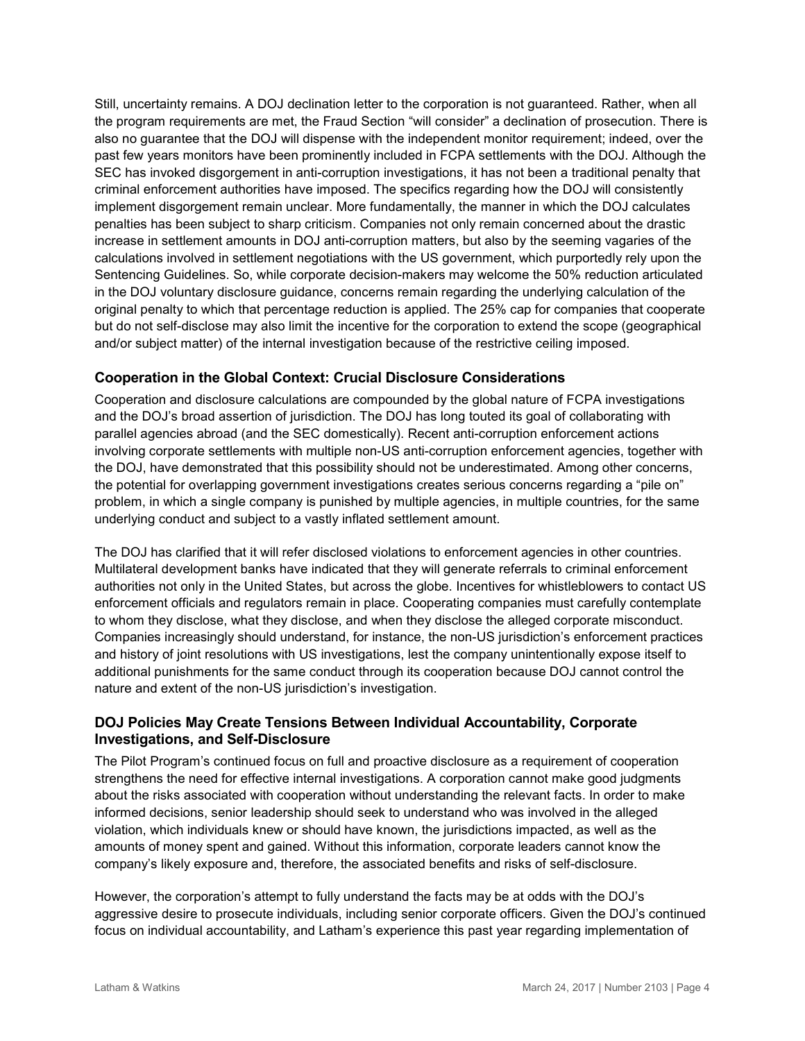Still, uncertainty remains. A DOJ declination letter to the corporation is not guaranteed. Rather, when all the program requirements are met, the Fraud Section "will consider" a declination of prosecution. There is also no guarantee that the DOJ will dispense with the independent monitor requirement; indeed, over the past few years monitors have been prominently included in FCPA settlements with the DOJ. Although the SEC has invoked disgorgement in anti-corruption investigations, it has not been a traditional penalty that criminal enforcement authorities have imposed. The specifics regarding how the DOJ will consistently implement disgorgement remain unclear. More fundamentally, the manner in which the DOJ calculates penalties has been subject to sharp criticism. Companies not only remain concerned about the drastic increase in settlement amounts in DOJ anti-corruption matters, but also by the seeming vagaries of the calculations involved in settlement negotiations with the US government, which purportedly rely upon the Sentencing Guidelines. So, while corporate decision-makers may welcome the 50% reduction articulated in the DOJ voluntary disclosure guidance, concerns remain regarding the underlying calculation of the original penalty to which that percentage reduction is applied. The 25% cap for companies that cooperate but do not self-disclose may also limit the incentive for the corporation to extend the scope (geographical and/or subject matter) of the internal investigation because of the restrictive ceiling imposed.

## **Cooperation in the Global Context: Crucial Disclosure Considerations**

Cooperation and disclosure calculations are compounded by the global nature of FCPA investigations and the DOJ's broad assertion of jurisdiction. The DOJ has long touted its goal of collaborating with parallel agencies abroad (and the SEC domestically). Recent anti-corruption enforcement actions involving corporate settlements with multiple non-US anti-corruption enforcement agencies, together with the DOJ, have demonstrated that this possibility should not be underestimated. Among other concerns, the potential for overlapping government investigations creates serious concerns regarding a "pile on" problem, in which a single company is punished by multiple agencies, in multiple countries, for the same underlying conduct and subject to a vastly inflated settlement amount.

The DOJ has clarified that it will refer disclosed violations to enforcement agencies in other countries. Multilateral development banks have indicated that they will generate referrals to criminal enforcement authorities not only in the United States, but across the globe. Incentives for whistleblowers to contact US enforcement officials and regulators remain in place. Cooperating companies must carefully contemplate to whom they disclose, what they disclose, and when they disclose the alleged corporate misconduct. Companies increasingly should understand, for instance, the non-US jurisdiction's enforcement practices and history of joint resolutions with US investigations, lest the company unintentionally expose itself to additional punishments for the same conduct through its cooperation because DOJ cannot control the nature and extent of the non-US jurisdiction's investigation.

## **DOJ Policies May Create Tensions Between Individual Accountability, Corporate Investigations, and Self-Disclosure**

The Pilot Program's continued focus on full and proactive disclosure as a requirement of cooperation strengthens the need for effective internal investigations. A corporation cannot make good judgments about the risks associated with cooperation without understanding the relevant facts. In order to make informed decisions, senior leadership should seek to understand who was involved in the alleged violation, which individuals knew or should have known, the jurisdictions impacted, as well as the amounts of money spent and gained. Without this information, corporate leaders cannot know the company's likely exposure and, therefore, the associated benefits and risks of self-disclosure.

However, the corporation's attempt to fully understand the facts may be at odds with the DOJ's aggressive desire to prosecute individuals, including senior corporate officers. Given the DOJ's continued focus on individual accountability, and Latham's experience this past year regarding implementation of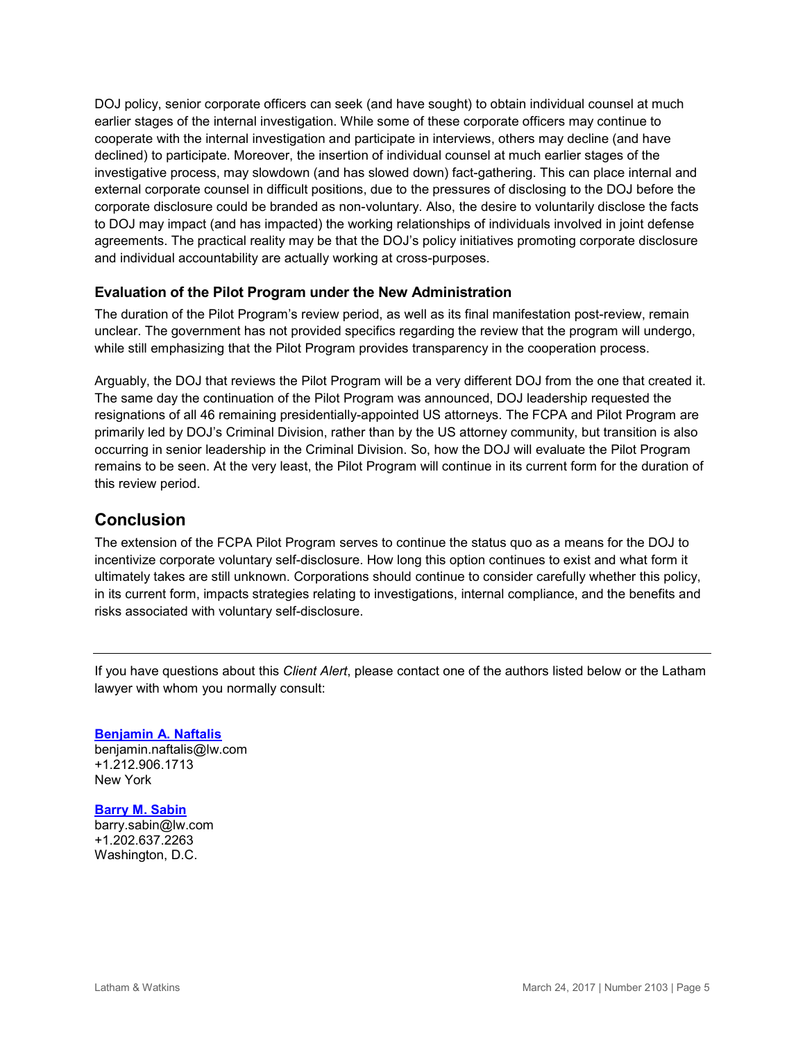DOJ policy, senior corporate officers can seek (and have sought) to obtain individual counsel at much earlier stages of the internal investigation. While some of these corporate officers may continue to cooperate with the internal investigation and participate in interviews, others may decline (and have declined) to participate. Moreover, the insertion of individual counsel at much earlier stages of the investigative process, may slowdown (and has slowed down) fact-gathering. This can place internal and external corporate counsel in difficult positions, due to the pressures of disclosing to the DOJ before the corporate disclosure could be branded as non-voluntary. Also, the desire to voluntarily disclose the facts to DOJ may impact (and has impacted) the working relationships of individuals involved in joint defense agreements. The practical reality may be that the DOJ's policy initiatives promoting corporate disclosure and individual accountability are actually working at cross-purposes.

## **Evaluation of the Pilot Program under the New Administration**

The duration of the Pilot Program's review period, as well as its final manifestation post-review, remain unclear. The government has not provided specifics regarding the review that the program will undergo, while still emphasizing that the Pilot Program provides transparency in the cooperation process.

Arguably, the DOJ that reviews the Pilot Program will be a very different DOJ from the one that created it. The same day the continuation of the Pilot Program was announced, DOJ leadership requested the resignations of all 46 remaining presidentially-appointed US attorneys. The FCPA and Pilot Program are primarily led by DOJ's Criminal Division, rather than by the US attorney community, but transition is also occurring in senior leadership in the Criminal Division. So, how the DOJ will evaluate the Pilot Program remains to be seen. At the very least, the Pilot Program will continue in its current form for the duration of this review period.

## **Conclusion**

The extension of the FCPA Pilot Program serves to continue the status quo as a means for the DOJ to incentivize corporate voluntary self-disclosure. How long this option continues to exist and what form it ultimately takes are still unknown. Corporations should continue to consider carefully whether this policy, in its current form, impacts strategies relating to investigations, internal compliance, and the benefits and risks associated with voluntary self-disclosure.

If you have questions about this *Client Alert*, please contact one of the authors listed below or the Latham lawyer with whom you normally consult:

**[Benjamin A. Naftalis](https://www.lw.com/people/benjamin-naftalis)** [benjamin.naftalis@lw.com](mailto:benjamin.naftalis@lw.com) +1.212.906.1713 New York

#### **[Barry M. Sabin](https://www.lw.com/people/barry-sabin)**

[barry.sabin@lw.com](mailto:barry.sabin@lw.com) +1.202.637.2263 Washington, D.C.